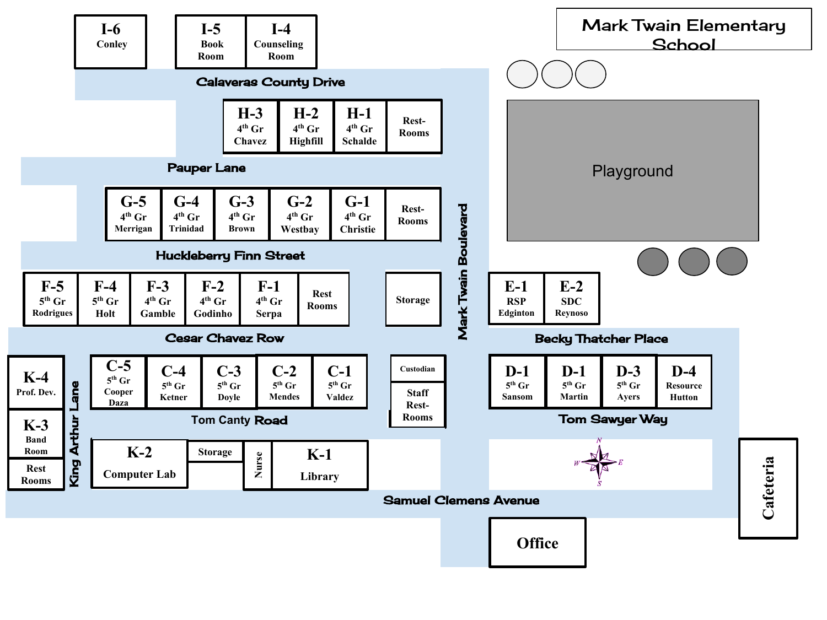